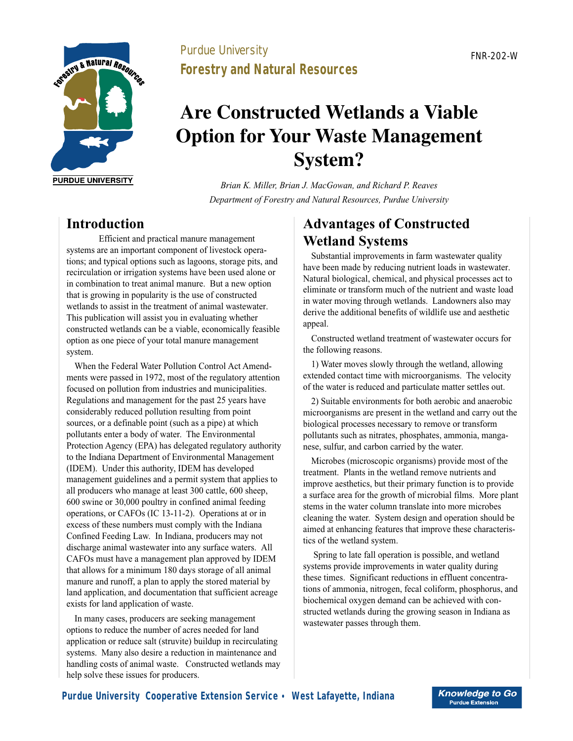

### Purdue University **Forestry and Natural Resources**

# **Are Constructed Wetlands a Viable Option for Your Waste Management System?**

*Brian K. Miller, Brian J. MacGowan, and Richard P. Reaves Department of Forestry and Natural Resources, Purdue University*

### **Introduction**

Efficient and practical manure management systems are an important component of livestock operations; and typical options such as lagoons, storage pits, and recirculation or irrigation systems have been used alone or in combination to treat animal manure. But a new option that is growing in popularity is the use of constructed wetlands to assist in the treatment of animal wastewater. This publication will assist you in evaluating whether constructed wetlands can be a viable, economically feasible option as one piece of your total manure management system.

When the Federal Water Pollution Control Act Amendments were passed in 1972, most of the regulatory attention focused on pollution from industries and municipalities. Regulations and management for the past 25 years have considerably reduced pollution resulting from point sources, or a definable point (such as a pipe) at which pollutants enter a body of water. The Environmental Protection Agency (EPA) has delegated regulatory authority to the Indiana Department of Environmental Management (IDEM). Under this authority, IDEM has developed management guidelines and a permit system that applies to all producers who manage at least 300 cattle, 600 sheep, 600 swine or 30,000 poultry in confined animal feeding operations, or CAFOs (IC 13-11-2). Operations at or in excess of these numbers must comply with the Indiana Confined Feeding Law. In Indiana, producers may not discharge animal wastewater into any surface waters. All CAFOs must have a management plan approved by IDEM that allows for a minimum 180 days storage of all animal manure and runoff, a plan to apply the stored material by land application, and documentation that sufficient acreage exists for land application of waste.

In many cases, producers are seeking management options to reduce the number of acres needed for land application or reduce salt (struvite) buildup in recirculating systems. Many also desire a reduction in maintenance and handling costs of animal waste. Constructed wetlands may help solve these issues for producers.

# **Advantages of Constructed Wetland Systems**

Substantial improvements in farm wastewater quality have been made by reducing nutrient loads in wastewater. Natural biological, chemical, and physical processes act to eliminate or transform much of the nutrient and waste load in water moving through wetlands. Landowners also may derive the additional benefits of wildlife use and aesthetic appeal.

Constructed wetland treatment of wastewater occurs for the following reasons.

1) Water moves slowly through the wetland, allowing extended contact time with microorganisms. The velocity of the water is reduced and particulate matter settles out.

2) Suitable environments for both aerobic and anaerobic microorganisms are present in the wetland and carry out the biological processes necessary to remove or transform pollutants such as nitrates, phosphates, ammonia, manganese, sulfur, and carbon carried by the water.

Microbes (microscopic organisms) provide most of the treatment. Plants in the wetland remove nutrients and improve aesthetics, but their primary function is to provide a surface area for the growth of microbial films. More plant stems in the water column translate into more microbes cleaning the water. System design and operation should be aimed at enhancing features that improve these characteristics of the wetland system.

 Spring to late fall operation is possible, and wetland systems provide improvements in water quality during these times. Significant reductions in effluent concentrations of ammonia, nitrogen, fecal coliform, phosphorus, and biochemical oxygen demand can be achieved with constructed wetlands during the growing season in Indiana as wastewater passes through them.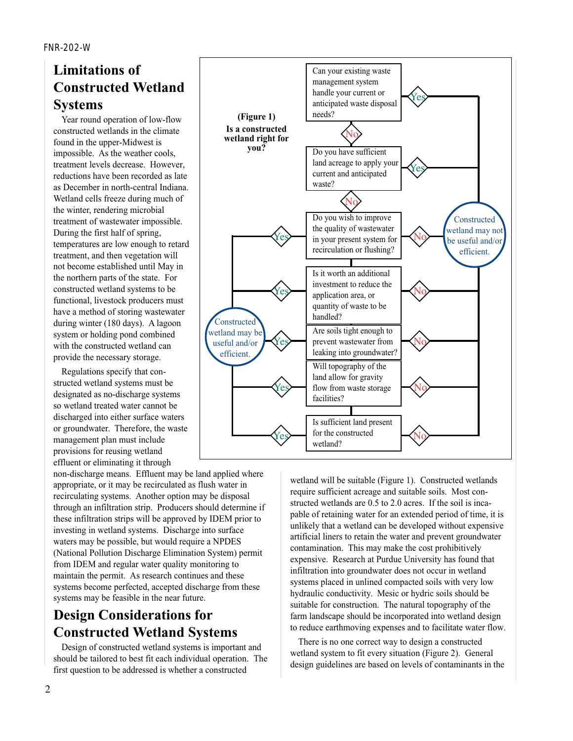## **Limitations of Constructed Wetland Systems**

Year round operation of low-flow constructed wetlands in the climate found in the upper-Midwest is impossible. As the weather cools, treatment levels decrease. However, reductions have been recorded as late as December in north-central Indiana. Wetland cells freeze during much of the winter, rendering microbial treatment of wastewater impossible. During the first half of spring, temperatures are low enough to retard treatment, and then vegetation will not become established until May in the northern parts of the state. For constructed wetland systems to be functional, livestock producers must have a method of storing wastewater during winter (180 days). A lagoon system or holding pond combined with the constructed wetland can provide the necessary storage.

Regulations specify that constructed wetland systems must be designated as no-discharge systems so wetland treated water cannot be discharged into either surface waters or groundwater. Therefore, the waste management plan must include provisions for reusing wetland effluent or eliminating it through

non-discharge means. Effluent may be land applied where appropriate, or it may be recirculated as flush water in recirculating systems. Another option may be disposal through an infiltration strip. Producers should determine if these infiltration strips will be approved by IDEM prior to investing in wetland systems. Discharge into surface waters may be possible, but would require a NPDES (National Pollution Discharge Elimination System) permit from IDEM and regular water quality monitoring to maintain the permit. As research continues and these systems become perfected, accepted discharge from these systems may be feasible in the near future.

# **Design Considerations for Constructed Wetland Systems**

Design of constructed wetland systems is important and should be tailored to best fit each individual operation. The first question to be addressed is whether a constructed



wetland will be suitable (Figure 1). Constructed wetlands require sufficient acreage and suitable soils. Most constructed wetlands are 0.5 to 2.0 acres. If the soil is incapable of retaining water for an extended period of time, it is unlikely that a wetland can be developed without expensive artificial liners to retain the water and prevent groundwater contamination. This may make the cost prohibitively expensive. Research at Purdue University has found that infiltration into groundwater does not occur in wetland systems placed in unlined compacted soils with very low hydraulic conductivity. Mesic or hydric soils should be suitable for construction. The natural topography of the farm landscape should be incorporated into wetland design to reduce earthmoving expenses and to facilitate water flow.

There is no one correct way to design a constructed wetland system to fit every situation (Figure 2). General design guidelines are based on levels of contaminants in the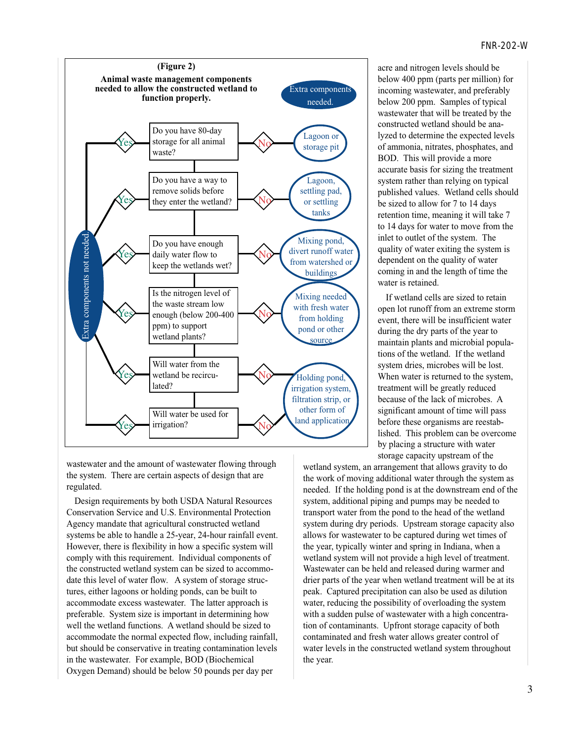

wastewater and the amount of wastewater flowing through the system. There are certain aspects of design that are regulated.

Design requirements by both USDA Natural Resources Conservation Service and U.S. Environmental Protection Agency mandate that agricultural constructed wetland systems be able to handle a 25-year, 24-hour rainfall event. However, there is flexibility in how a specific system will comply with this requirement. Individual components of the constructed wetland system can be sized to accommodate this level of water flow. A system of storage structures, either lagoons or holding ponds, can be built to accommodate excess wastewater. The latter approach is preferable. System size is important in determining how well the wetland functions. A wetland should be sized to accommodate the normal expected flow, including rainfall, but should be conservative in treating contamination levels in the wastewater. For example, BOD (Biochemical Oxygen Demand) should be below 50 pounds per day per

acre and nitrogen levels should be below 400 ppm (parts per million) for incoming wastewater, and preferably below 200 ppm. Samples of typical wastewater that will be treated by the constructed wetland should be analyzed to determine the expected levels of ammonia, nitrates, phosphates, and BOD. This will provide a more accurate basis for sizing the treatment system rather than relying on typical published values. Wetland cells should be sized to allow for 7 to 14 days retention time, meaning it will take 7 to 14 days for water to move from the inlet to outlet of the system. The quality of water exiting the system is dependent on the quality of water coming in and the length of time the water is retained.

If wetland cells are sized to retain open lot runoff from an extreme storm event, there will be insufficient water during the dry parts of the year to maintain plants and microbial populations of the wetland. If the wetland system dries, microbes will be lost. When water is returned to the system, treatment will be greatly reduced because of the lack of microbes. A significant amount of time will pass before these organisms are reestablished. This problem can be overcome by placing a structure with water storage capacity upstream of the

wetland system, an arrangement that allows gravity to do the work of moving additional water through the system as needed. If the holding pond is at the downstream end of the system, additional piping and pumps may be needed to transport water from the pond to the head of the wetland system during dry periods. Upstream storage capacity also allows for wastewater to be captured during wet times of the year, typically winter and spring in Indiana, when a wetland system will not provide a high level of treatment. Wastewater can be held and released during warmer and drier parts of the year when wetland treatment will be at its peak. Captured precipitation can also be used as dilution water, reducing the possibility of overloading the system with a sudden pulse of wastewater with a high concentration of contaminants. Upfront storage capacity of both contaminated and fresh water allows greater control of water levels in the constructed wetland system throughout the year.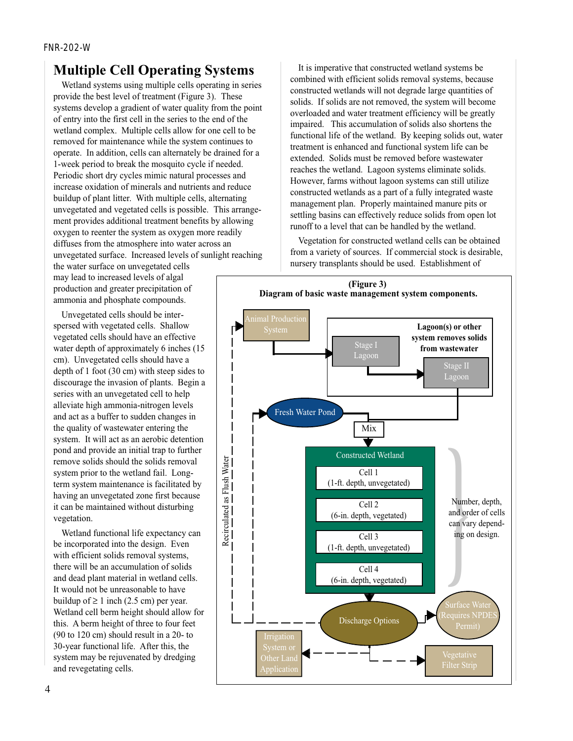### **Multiple Cell Operating Systems**

Wetland systems using multiple cells operating in series provide the best level of treatment (Figure 3). These systems develop a gradient of water quality from the point of entry into the first cell in the series to the end of the wetland complex. Multiple cells allow for one cell to be removed for maintenance while the system continues to operate. In addition, cells can alternately be drained for a 1-week period to break the mosquito cycle if needed. Periodic short dry cycles mimic natural processes and increase oxidation of minerals and nutrients and reduce buildup of plant litter. With multiple cells, alternating unvegetated and vegetated cells is possible. This arrangement provides additional treatment benefits by allowing oxygen to reenter the system as oxygen more readily diffuses from the atmosphere into water across an unvegetated surface. Increased levels of sunlight reaching

the water surface on unvegetated cells may lead to increased levels of algal production and greater precipitation of ammonia and phosphate compounds.

Unvegetated cells should be interspersed with vegetated cells. Shallow vegetated cells should have an effective water depth of approximately 6 inches (15 cm). Unvegetated cells should have a depth of 1 foot (30 cm) with steep sides to discourage the invasion of plants. Begin a series with an unvegetated cell to help alleviate high ammonia-nitrogen levels and act as a buffer to sudden changes in the quality of wastewater entering the system. It will act as an aerobic detention pond and provide an initial trap to further remove solids should the solids removal system prior to the wetland fail. Longterm system maintenance is facilitated by having an unvegetated zone first because it can be maintained without disturbing vegetation.

Wetland functional life expectancy can be incorporated into the design. Even with efficient solids removal systems, there will be an accumulation of solids and dead plant material in wetland cells. It would not be unreasonable to have buildup of  $\geq 1$  inch (2.5 cm) per year. Wetland cell berm height should allow for this. A berm height of three to four feet (90 to 120 cm) should result in a 20- to 30-year functional life. After this, the system may be rejuvenated by dredging and revegetating cells.

It is imperative that constructed wetland systems be combined with efficient solids removal systems, because constructed wetlands will not degrade large quantities of solids. If solids are not removed, the system will become overloaded and water treatment efficiency will be greatly impaired. This accumulation of solids also shortens the functional life of the wetland. By keeping solids out, water treatment is enhanced and functional system life can be extended. Solids must be removed before wastewater reaches the wetland. Lagoon systems eliminate solids. However, farms without lagoon systems can still utilize constructed wetlands as a part of a fully integrated waste management plan. Properly maintained manure pits or settling basins can effectively reduce solids from open lot runoff to a level that can be handled by the wetland.

Vegetation for constructed wetland cells can be obtained from a variety of sources. If commercial stock is desirable, nursery transplants should be used. Establishment of

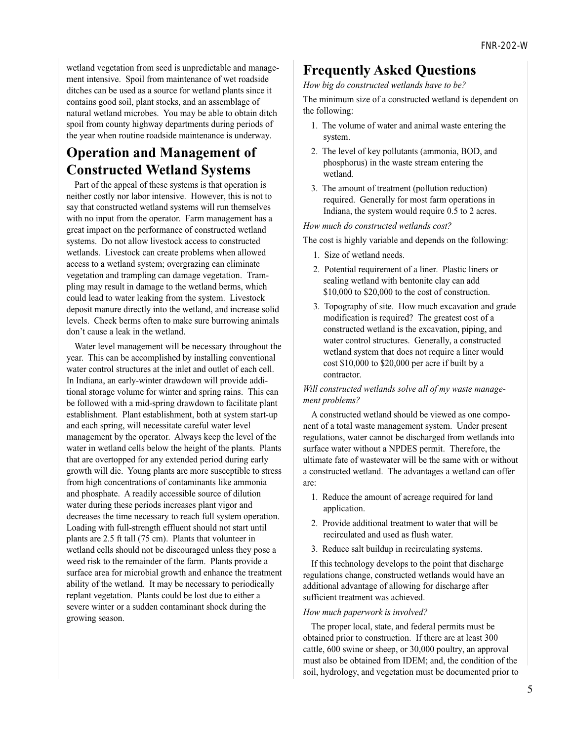wetland vegetation from seed is unpredictable and management intensive. Spoil from maintenance of wet roadside ditches can be used as a source for wetland plants since it contains good soil, plant stocks, and an assemblage of natural wetland microbes. You may be able to obtain ditch spoil from county highway departments during periods of the year when routine roadside maintenance is underway.

### **Operation and Management of Constructed Wetland Systems**

Part of the appeal of these systems is that operation is neither costly nor labor intensive. However, this is not to say that constructed wetland systems will run themselves with no input from the operator. Farm management has a great impact on the performance of constructed wetland systems. Do not allow livestock access to constructed wetlands. Livestock can create problems when allowed access to a wetland system; overgrazing can eliminate vegetation and trampling can damage vegetation. Trampling may result in damage to the wetland berms, which could lead to water leaking from the system. Livestock deposit manure directly into the wetland, and increase solid levels. Check berms often to make sure burrowing animals don't cause a leak in the wetland.

Water level management will be necessary throughout the year. This can be accomplished by installing conventional water control structures at the inlet and outlet of each cell. In Indiana, an early-winter drawdown will provide additional storage volume for winter and spring rains. This can be followed with a mid-spring drawdown to facilitate plant establishment. Plant establishment, both at system start-up and each spring, will necessitate careful water level management by the operator. Always keep the level of the water in wetland cells below the height of the plants. Plants that are overtopped for any extended period during early growth will die. Young plants are more susceptible to stress from high concentrations of contaminants like ammonia and phosphate. A readily accessible source of dilution water during these periods increases plant vigor and decreases the time necessary to reach full system operation. Loading with full-strength effluent should not start until plants are 2.5 ft tall (75 cm). Plants that volunteer in wetland cells should not be discouraged unless they pose a weed risk to the remainder of the farm. Plants provide a surface area for microbial growth and enhance the treatment ability of the wetland. It may be necessary to periodically replant vegetation. Plants could be lost due to either a severe winter or a sudden contaminant shock during the growing season.

### **Frequently Asked Questions**

*How big do constructed wetlands have to be?*

The minimum size of a constructed wetland is dependent on the following:

- 1. The volume of water and animal waste entering the system.
- 2. The level of key pollutants (ammonia, BOD, and phosphorus) in the waste stream entering the wetland.
- 3. The amount of treatment (pollution reduction) required. Generally for most farm operations in Indiana, the system would require 0.5 to 2 acres.

*How much do constructed wetlands cost?*

The cost is highly variable and depends on the following:

- 1. Size of wetland needs.
- 2. Potential requirement of a liner. Plastic liners or sealing wetland with bentonite clay can add \$10,000 to \$20,000 to the cost of construction.
- 3. Topography of site. How much excavation and grade modification is required? The greatest cost of a constructed wetland is the excavation, piping, and water control structures. Generally, a constructed wetland system that does not require a liner would cost \$10,000 to \$20,000 per acre if built by a contractor.

*Will constructed wetlands solve all of my waste management problems?*

A constructed wetland should be viewed as one component of a total waste management system. Under present regulations, water cannot be discharged from wetlands into surface water without a NPDES permit. Therefore, the ultimate fate of wastewater will be the same with or without a constructed wetland. The advantages a wetland can offer are:

- 1. Reduce the amount of acreage required for land application.
- 2. Provide additional treatment to water that will be recirculated and used as flush water.
- 3. Reduce salt buildup in recirculating systems.

If this technology develops to the point that discharge regulations change, constructed wetlands would have an additional advantage of allowing for discharge after sufficient treatment was achieved.

#### *How much paperwork is involved?*

The proper local, state, and federal permits must be obtained prior to construction. If there are at least 300 cattle, 600 swine or sheep, or 30,000 poultry, an approval must also be obtained from IDEM; and, the condition of the soil, hydrology, and vegetation must be documented prior to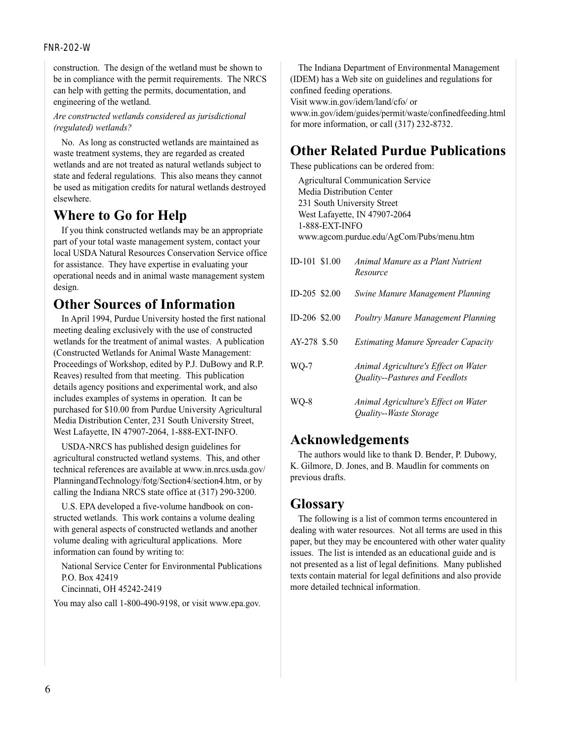#### FNR-202-W

construction. The design of the wetland must be shown to be in compliance with the permit requirements. The NRCS can help with getting the permits, documentation, and engineering of the wetland.

#### *Are constructed wetlands considered as jurisdictional (regulated) wetlands?*

No. As long as constructed wetlands are maintained as waste treatment systems, they are regarded as created wetlands and are not treated as natural wetlands subject to state and federal regulations. This also means they cannot be used as mitigation credits for natural wetlands destroyed elsewhere.

### **Where to Go for Help**

If you think constructed wetlands may be an appropriate part of your total waste management system, contact your local USDA Natural Resources Conservation Service office for assistance. They have expertise in evaluating your operational needs and in animal waste management system design.

### **Other Sources of Information**

In April 1994, Purdue University hosted the first national meeting dealing exclusively with the use of constructed wetlands for the treatment of animal wastes. A publication (Constructed Wetlands for Animal Waste Management: Proceedings of Workshop, edited by P.J. DuBowy and R.P. Reaves) resulted from that meeting. This publication details agency positions and experimental work, and also includes examples of systems in operation. It can be purchased for \$10.00 from Purdue University Agricultural Media Distribution Center, 231 South University Street, West Lafayette, IN 47907-2064, 1-888-EXT-INFO.

USDA-NRCS has published design guidelines for agricultural constructed wetland systems. This, and other technical references are available at www.in.nrcs.usda.gov/ PlanningandTechnology/fotg/Section4/section4.htm, or by calling the Indiana NRCS state office at (317) 290-3200.

U.S. EPA developed a five-volume handbook on constructed wetlands. This work contains a volume dealing with general aspects of constructed wetlands and another volume dealing with agricultural applications. More information can found by writing to:

National Service Center for Environmental Publications P.O. Box 42419 Cincinnati, OH 45242-2419

You may also call 1-800-490-9198, or visit www.epa.gov.

The Indiana Department of Environmental Management (IDEM) has a Web site on guidelines and regulations for confined feeding operations. Visit www.in.gov/idem/land/cfo/ or www.in.gov/idem/guides/permit/waste/confinedfeeding.html for more information, or call (317) 232-8732.

### **Other Related Purdue Publications**

These publications can be ordered from:

Agricultural Communication Service Media Distribution Center 231 South University Street West Lafayette, IN 47907-2064 1-888-EXT-INFO www.agcom.purdue.edu/AgCom/Pubs/menu.htm

| ID-101 \$1.00 | Animal Manure as a Plant Nutrient<br>Resource                                |
|---------------|------------------------------------------------------------------------------|
| ID-205 \$2.00 | <b>Swine Manure Management Planning</b>                                      |
| ID-206 \$2.00 | <b>Poultry Manure Management Planning</b>                                    |
| AY-278 \$.50  | <b>Estimating Manure Spreader Capacity</b>                                   |
| WO-7          | Animal Agriculture's Effect on Water<br>Quality--Pastures and Feedlots       |
| WO-8          | Animal Agriculture's Effect on Water<br><i><b>Ouality--Waste Storage</b></i> |

### **Acknowledgements**

The authors would like to thank D. Bender, P. Dubowy, K. Gilmore, D. Jones, and B. Maudlin for comments on previous drafts.

### **Glossary**

The following is a list of common terms encountered in dealing with water resources. Not all terms are used in this paper, but they may be encountered with other water quality issues. The list is intended as an educational guide and is not presented as a list of legal definitions. Many published texts contain material for legal definitions and also provide more detailed technical information.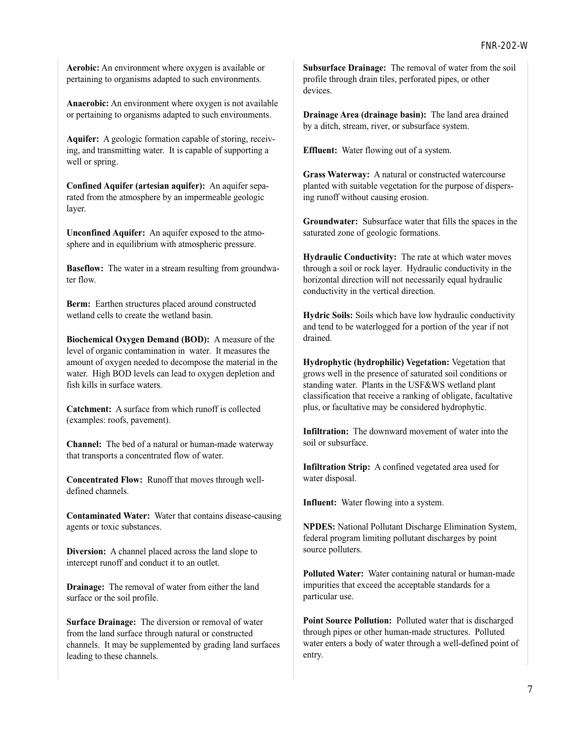**Aerobic:** An environment where oxygen is available or pertaining to organisms adapted to such environments.

**Anaerobic:** An environment where oxygen is not available or pertaining to organisms adapted to such environments.

**Aquifer:** A geologic formation capable of storing, receiving, and transmitting water. It is capable of supporting a well or spring.

**Confined Aquifer (artesian aquifer):** An aquifer separated from the atmosphere by an impermeable geologic layer.

**Unconfined Aquifer:** An aquifer exposed to the atmosphere and in equilibrium with atmospheric pressure.

**Baseflow:** The water in a stream resulting from groundwater flow.

**Berm:** Earthen structures placed around constructed wetland cells to create the wetland basin.

**Biochemical Oxygen Demand (BOD):** A measure of the level of organic contamination in water. It measures the amount of oxygen needed to decompose the material in the water. High BOD levels can lead to oxygen depletion and fish kills in surface waters.

**Catchment:** A surface from which runoff is collected (examples: roofs, pavement).

**Channel:** The bed of a natural or human-made waterway that transports a concentrated flow of water.

**Concentrated Flow:** Runoff that moves through welldefined channels.

**Contaminated Water:** Water that contains disease-causing agents or toxic substances.

**Diversion:** A channel placed across the land slope to intercept runoff and conduct it to an outlet.

**Drainage:** The removal of water from either the land surface or the soil profile.

**Surface Drainage:** The diversion or removal of water from the land surface through natural or constructed channels. It may be supplemented by grading land surfaces leading to these channels.

**Subsurface Drainage:** The removal of water from the soil profile through drain tiles, perforated pipes, or other devices.

**Drainage Area (drainage basin):** The land area drained by a ditch, stream, river, or subsurface system.

**Effluent:** Water flowing out of a system.

**Grass Waterway:** A natural or constructed watercourse planted with suitable vegetation for the purpose of dispersing runoff without causing erosion.

**Groundwater:** Subsurface water that fills the spaces in the saturated zone of geologic formations.

**Hydraulic Conductivity:** The rate at which water moves through a soil or rock layer. Hydraulic conductivity in the horizontal direction will not necessarily equal hydraulic conductivity in the vertical direction.

**Hydric Soils:** Soils which have low hydraulic conductivity and tend to be waterlogged for a portion of the year if not drained.

**Hydrophytic (hydrophilic) Vegetation:** Vegetation that grows well in the presence of saturated soil conditions or standing water. Plants in the USF&WS wetland plant classification that receive a ranking of obligate, facultative plus, or facultative may be considered hydrophytic.

**Infiltration:** The downward movement of water into the soil or subsurface.

**Infiltration Strip:** A confined vegetated area used for water disposal.

**Influent:** Water flowing into a system.

**NPDES:** National Pollutant Discharge Elimination System, federal program limiting pollutant discharges by point source polluters.

**Polluted Water:** Water containing natural or human-made impurities that exceed the acceptable standards for a particular use.

**Point Source Pollution:** Polluted water that is discharged through pipes or other human-made structures. Polluted water enters a body of water through a well-defined point of entry.